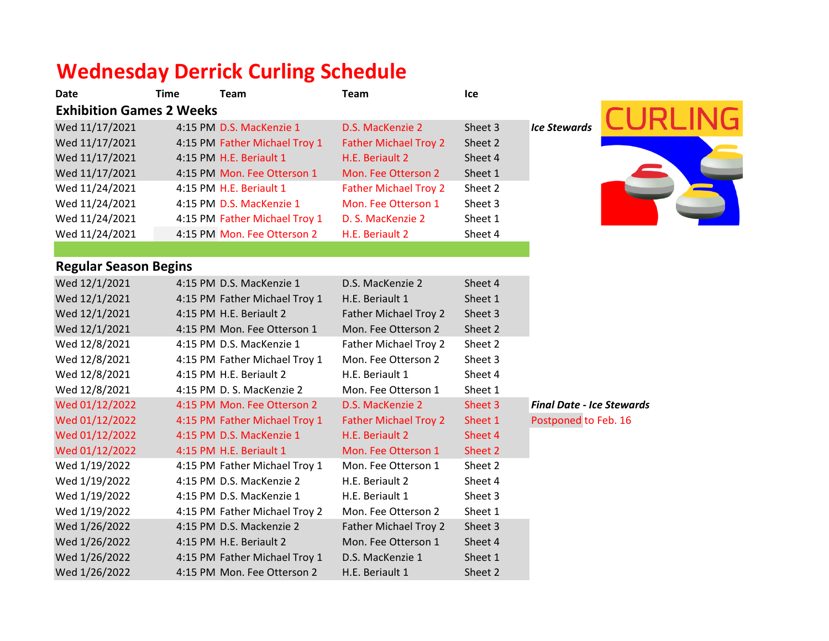# **Wednesday Derrick Curling Schedule**

| Date                            | Time | Team                          | Team                         | Ice     |                     |
|---------------------------------|------|-------------------------------|------------------------------|---------|---------------------|
| <b>Exhibition Games 2 Weeks</b> |      |                               |                              |         |                     |
| Wed 11/17/2021                  |      | 4:15 PM D.S. MacKenzie 1      | D.S. MacKenzie 2             | Sheet 3 | <b>Ice Stewards</b> |
| Wed 11/17/2021                  |      | 4:15 PM Father Michael Troy 1 | <b>Father Michael Troy 2</b> | Sheet 2 |                     |
| Wed 11/17/2021                  |      | 4:15 PM H.E. Beriault 1       | H.E. Beriault 2              | Sheet 4 |                     |
| Wed 11/17/2021                  |      | 4:15 PM Mon. Fee Otterson 1   | Mon. Fee Otterson 2          | Sheet 1 |                     |
| Wed 11/24/2021                  |      | 4:15 PM H.E. Beriault 1       | <b>Father Michael Troy 2</b> | Sheet 2 |                     |
| Wed 11/24/2021                  |      | 4:15 PM D.S. MacKenzie 1      | Mon. Fee Otterson 1          | Sheet 3 |                     |
| Wed 11/24/2021                  |      | 4:15 PM Father Michael Troy 1 | D. S. MacKenzie 2            | Sheet 1 |                     |
| Wed 11/24/2021                  |      | 4:15 PM Mon. Fee Otterson 2   | H.E. Beriault 2              | Sheet 4 |                     |
|                                 |      |                               |                              |         |                     |



### **Regular Season Begins**

| Wed 12/1/2021  | 4:15 PM D.S. MacKenzie 1      | D.S. MacKenzie 2             | Sheet 4 |                                  |
|----------------|-------------------------------|------------------------------|---------|----------------------------------|
| Wed 12/1/2021  | 4:15 PM Father Michael Troy 1 | H.E. Beriault 1              | Sheet 1 |                                  |
| Wed 12/1/2021  | 4:15 PM H.E. Beriault 2       | Father Michael Troy 2        | Sheet 3 |                                  |
| Wed 12/1/2021  | 4:15 PM Mon. Fee Otterson 1   | Mon. Fee Otterson 2          | Sheet 2 |                                  |
| Wed 12/8/2021  | 4:15 PM D.S. MacKenzie 1      | Father Michael Troy 2        | Sheet 2 |                                  |
| Wed 12/8/2021  | 4:15 PM Father Michael Troy 1 | Mon. Fee Otterson 2          | Sheet 3 |                                  |
| Wed 12/8/2021  | 4:15 PM H.E. Beriault 2       | H.E. Beriault 1              | Sheet 4 |                                  |
| Wed 12/8/2021  | 4:15 PM D. S. MacKenzie 2     | Mon. Fee Otterson 1          | Sheet 1 |                                  |
| Wed 01/12/2022 | 4:15 PM Mon. Fee Otterson 2   | D.S. MacKenzie 2             | Sheet 3 | <b>Final Date - Ice Stewards</b> |
| Wed 01/12/2022 | 4:15 PM Father Michael Troy 1 | <b>Father Michael Troy 2</b> | Sheet 1 | Postponed to Feb. 16             |
| Wed 01/12/2022 | 4:15 PM D.S. MacKenzie 1      | H.E. Beriault 2              | Sheet 4 |                                  |
| Wed 01/12/2022 | 4:15 PM H.E. Beriault 1       | Mon. Fee Otterson 1          | Sheet 2 |                                  |
| Wed 1/19/2022  | 4:15 PM Father Michael Troy 1 | Mon. Fee Otterson 1          | Sheet 2 |                                  |
| Wed 1/19/2022  | 4:15 PM D.S. MacKenzie 2      | H.E. Beriault 2              | Sheet 4 |                                  |
| Wed 1/19/2022  | 4:15 PM D.S. MacKenzie 1      | H.E. Beriault 1              | Sheet 3 |                                  |
| Wed 1/19/2022  | 4:15 PM Father Michael Troy 2 | Mon. Fee Otterson 2          | Sheet 1 |                                  |
| Wed 1/26/2022  | 4:15 PM D.S. Mackenzie 2      | Father Michael Troy 2        | Sheet 3 |                                  |
| Wed 1/26/2022  | 4:15 PM H.E. Beriault 2       | Mon. Fee Otterson 1          | Sheet 4 |                                  |
| Wed 1/26/2022  | 4:15 PM Father Michael Troy 1 | D.S. MacKenzie 1             | Sheet 1 |                                  |
| Wed 1/26/2022  | 4:15 PM Mon. Fee Otterson 2   | H.E. Beriault 1              | Sheet 2 |                                  |